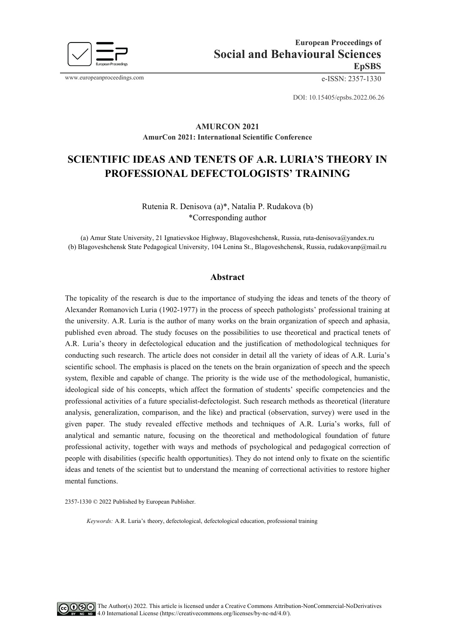

www.europeanproceedings.com e-ISSN: 2357-1330

DOI: 10.15405/epsbs.2022.06.26

# **AMURCON 2021 AmurCon 2021: International Scientific Conference**

# **SCIENTIFIC IDEAS AND TENETS OF A.R. LURIA'S THEORY IN PROFESSIONAL DEFECTOLOGISTS' TRAINING**

Rutenia R. Denisova (a)\*, Natalia P. Rudakova (b) \*Corresponding author

(a) Amur State University, 21 Ignatievskoe Highway, Blagoveshchensk, Russia[, ruta-denisova@yandex.ru](mailto:ruta-denisova@yandex.ru) (b) Blagoveshchensk State Pedagogical University, 104 Lenina St., Blagoveshchensk, Russia[, rudakovanp@mail.ru](mailto:rudakovanp@mail.ru)

#### **Abstract**

The topicality of the research is due to the importance of studying the ideas and tenets of the theory of Alexander Romanovich Luria (1902-1977) in the process of speech pathologists' professional training at the university. A.R. Luria is the author of many works on the brain organization of speech and aphasia, published even abroad. The study focuses on the possibilities to use theoretical and practical tenets of A.R. Luria's theory in defectological education and the justification of methodological techniques for conducting such research. The article does not consider in detail all the variety of ideas of A.R. Luria's scientific school. The emphasis is placed on the tenets on the brain organization of speech and the speech system, flexible and capable of change. The priority is the wide use of the methodological, humanistic, ideological side of his concepts, which affect the formation of students' specific competencies and the professional activities of a future specialist-defectologist. Such research methods as theoretical (literature analysis, generalization, comparison, and the like) and practical (observation, survey) were used in the given paper. The study revealed effective methods and techniques of A.R. Luria's works, full of analytical and semantic nature, focusing on the theoretical and methodological foundation of future professional activity, together with ways and methods of psychological and pedagogical correction of people with disabilities (specific health opportunities). They do not intend only to fixate on the scientific ideas and tenets of the scientist but to understand the meaning of correctional activities to restore higher mental functions.

2357-1330 © 2022 Published by European Publisher.

*Keywords:* A.R. Luria's theory, defectological, defectological education, professional training

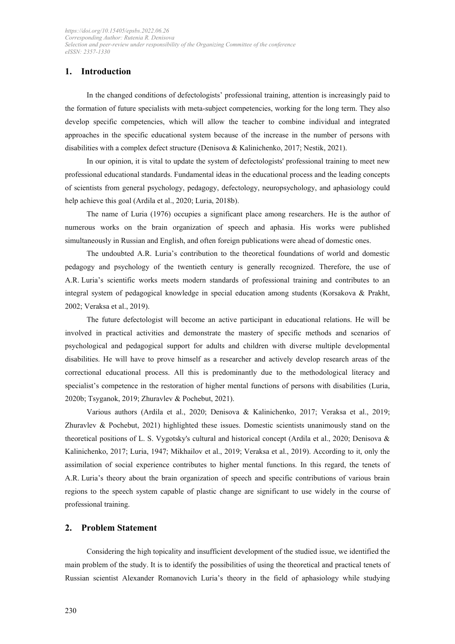# **1. Introduction**

In the changed conditions of defectologists' professional training, attention is increasingly paid to the formation of future specialists with meta-subject competencies, working for the long term. They also develop specific competencies, which will allow the teacher to combine individual and integrated approaches in the specific educational system because of the increase in the number of persons with disabilities with a complex defect structure (Denisova & Kalinichenko, 2017; Nestik, 2021).

In our opinion, it is vital to update the system of defectologists' professional training to meet new professional educational standards. Fundamental ideas in the educational process and the leading concepts of scientists from general psychology, pedagogy, defectology, neuropsychology, and aphasiology could help achieve this goal (Ardila et al., 2020; Luria, 2018b).

The name of Luria (1976) occupies a significant place among researchers. He is the author of numerous works on the brain organization of speech and aphasia. His works were published simultaneously in Russian and English, and often foreign publications were ahead of domestic ones.

The undoubted A.R. Luria's contribution to the theoretical foundations of world and domestic pedagogy and psychology of the twentieth century is generally recognized. Therefore, the use of A.R. Luria's scientific works meets modern standards of professional training and contributes to an integral system of pedagogical knowledge in special education among students (Korsakova & Prakht, 2002; Veraksa et al., 2019).

The future defectologist will become an active participant in educational relations. He will be involved in practical activities and demonstrate the mastery of specific methods and scenarios of psychological and pedagogical support for adults and children with diverse multiple developmental disabilities. He will have to prove himself as a researcher and actively develop research areas of the correctional educational process. All this is predominantly due to the methodological literacy and specialist's competence in the restoration of higher mental functions of persons with disabilities (Luria, 2020b; Tsyganok, 2019; Zhuravlev & Pochebut, 2021).

Various authors (Ardila et al., 2020; Denisova & Kalinichenko, 2017; Veraksa et al., 2019; Zhuravlev & Pochebut, 2021) highlighted these issues. Domestic scientists unanimously stand on the theoretical positions of L. S. Vygotsky's cultural and historical concept (Ardila et al., 2020; Denisova & Kalinichenko, 2017; Luria, 1947; Mikhailov et al., 2019; Veraksa et al., 2019). According to it, only the assimilation of social experience contributes to higher mental functions. In this regard, the tenets of A.R. Luria's theory about the brain organization of speech and specific contributions of various brain regions to the speech system capable of plastic change are significant to use widely in the course of professional training.

# **2. Problem Statement**

Considering the high topicality and insufficient development of the studied issue, we identified the main problem of the study. It is to identify the possibilities of using the theoretical and practical tenets of Russian scientist Alexander Romanovich Luria's theory in the field of aphasiology while studying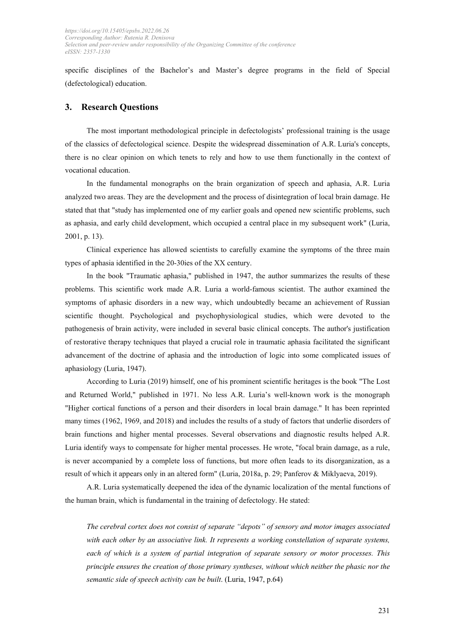specific disciplines of the Bachelor's and Master's degree programs in the field of Special (defectological) education.

#### **3. Research Questions**

The most important methodological principle in defectologists' professional training is the usage of the classics of defectological science. Despite the widespread dissemination of A.R. Luria's concepts, there is no clear opinion on which tenets to rely and how to use them functionally in the context of vocational education.

In the fundamental monographs on the brain organization of speech and aphasia, A.R. Luria analyzed two areas. They are the development and the process of disintegration of local brain damage. He stated that that "study has implemented one of my earlier goals and opened new scientific problems, such as aphasia, and early child development, which occupied a central place in my subsequent work" (Luria, 2001, p. 13).

Clinical experience has allowed scientists to carefully examine the symptoms of the three main types of aphasia identified in the 20-30ies of the XX century.

In the book "Traumatic aphasia," published in 1947, the author summarizes the results of these problems. This scientific work made A.R. Luria a world-famous scientist. The author examined the symptoms of aphasic disorders in a new way, which undoubtedly became an achievement of Russian scientific thought. Psychological and psychophysiological studies, which were devoted to the pathogenesis of brain activity, were included in several basic clinical concepts. The author's justification of restorative therapy techniques that played a crucial role in traumatic aphasia facilitated the significant advancement of the doctrine of aphasia and the introduction of logic into some complicated issues of aphasiology (Luria, 1947).

According to Luria (2019) himself, one of his prominent scientific heritages is the book "The Lost and Returned World," published in 1971. No less A.R. Luria's well-known work is the monograph "Higher cortical functions of a person and their disorders in local brain damage." It has been reprinted many times (1962, 1969, and 2018) and includes the results of a study of factors that underlie disorders of brain functions and higher mental processes. Several observations and diagnostic results helped A.R. Luria identify ways to compensate for higher mental processes. He wrote, "focal brain damage, as a rule, is never accompanied by a complete loss of functions, but more often leads to its disorganization, as a result of which it appears only in an altered form" (Luria, 2018a, p. 29; Panferov & Miklyaeva, 2019).

A.R. Luria systematically deepened the idea of the dynamic localization of the mental functions of the human brain, which is fundamental in the training of defectology. He stated:

*The cerebral cortex does not consist of separate "depots" of sensory and motor images associated with each other by an associative link. It represents a working constellation of separate systems, each of which is a system of partial integration of separate sensory or motor processes. This principle ensures the creation of those primary syntheses, without which neither the phasic nor the semantic side of speech activity can be built*. (Luria, 1947, p.64)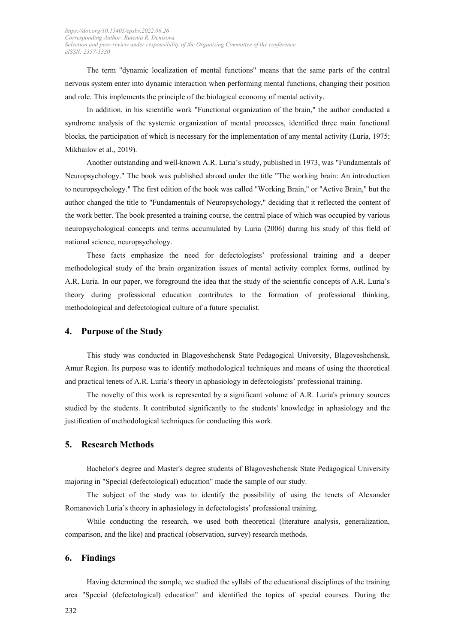The term "dynamic localization of mental functions" means that the same parts of the central nervous system enter into dynamic interaction when performing mental functions, changing their position and role. This implements the principle of the biological economy of mental activity.

In addition, in his scientific work "Functional organization of the brain," the author conducted a syndrome analysis of the systemic organization of mental processes, identified three main functional blocks, the participation of which is necessary for the implementation of any mental activity (Luria, 1975; Mikhailov et al., 2019).

Another outstanding and well-known A.R. Luria's study, published in 1973, was "Fundamentals of Neuropsychology." The book was published abroad under the title "The working brain: An introduction to neuropsychology." The first edition of the book was called "Working Brain," or "Active Brain," but the author changed the title to "Fundamentals of Neuropsychology," deciding that it reflected the content of the work better. The book presented a training course, the central place of which was occupied by various neuropsychological concepts and terms accumulated by Luria (2006) during his study of this field of national science, neuropsychology.

These facts emphasize the need for defectologists' professional training and a deeper methodological study of the brain organization issues of mental activity complex forms, outlined by A.R. Luria. In our paper, we foreground the idea that the study of the scientific concepts of A.R. Luria's theory during professional education contributes to the formation of professional thinking, methodological and defectological culture of a future specialist.

### **4. Purpose of the Studу**

This study was conducted in Blagoveshchensk State Pedagogical University, Blagoveshchensk, Amur Region. Its purpose was to identify methodological techniques and means of using the theoretical and practical tenets of A.R. Luria's theory in aphasiology in defectologists' professional training.

The novelty of this work is represented by a significant volume of A.R. Luria's primary sources studied by the students. It contributed significantly to the students' knowledge in aphasiology and the justification of methodological techniques for conducting this work.

#### **5. Research Methods**

Bachelor's degree and Master's degree students of Blagoveshchensk State Pedagogical University majoring in "Special (defectological) education" made the sample of our study.

The subject of the study was to identify the possibility of using the tenets of Alexander Romanovich Luria's theory in aphasiology in defectologists' professional training.

While conducting the research, we used both theoretical (literature analysis, generalization, comparison, and the like) and practical (observation, survey) research methods.

#### **6. Findings**

Having determined the sample, we studied the syllabi of the educational disciplines of the training area "Special (defectological) education" and identified the topics of special courses. During the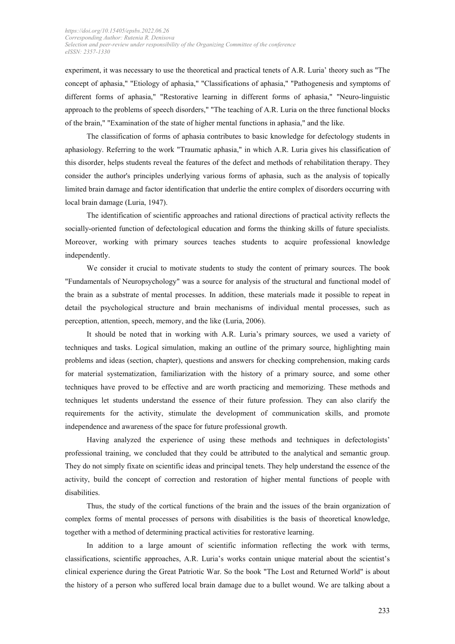experiment, it was necessary to use the theoretical and practical tenets of A.R. Luria' theory such as "The concept of aphasia," "Etiology of aphasia," "Classifications of aphasia," "Pathogenesis and symptoms of different forms of aphasia," "Restorative learning in different forms of aphasia," "Neuro-linguistic approach to the problems of speech disorders," "The teaching of A.R. Luria on the three functional blocks of the brain," "Examination of the state of higher mental functions in aphasia," and the like.

The classification of forms of aphasia contributes to basic knowledge for defectology students in aphasiology. Referring to the work "Traumatic aphasia," in which A.R. Luria gives his classification of this disorder, helps students reveal the features of the defect and methods of rehabilitation therapy. They consider the author's principles underlying various forms of aphasia, such as the analysis of topically limited brain damage and factor identification that underlie the entire complex of disorders occurring with local brain damage (Luria, 1947).

The identification of scientific approaches and rational directions of practical activity reflects the socially-oriented function of defectological education and forms the thinking skills of future specialists. Moreover, working with primary sources teaches students to acquire professional knowledge independently.

We consider it crucial to motivate students to study the content of primary sources. The book "Fundamentals of Neuropsychology" was a source for analysis of the structural and functional model of the brain as a substrate of mental processes. In addition, these materials made it possible to repeat in detail the psychological structure and brain mechanisms of individual mental processes, such as perception, attention, speech, memory, and the like (Luria, 2006).

It should be noted that in working with A.R. Luria's primary sources, we used a variety of techniques and tasks. Logical simulation, making an outline of the primary source, highlighting main problems and ideas (section, chapter), questions and answers for checking comprehension, making cards for material systematization, familiarization with the history of a primary source, and some other techniques have proved to be effective and are worth practicing and memorizing. These methods and techniques let students understand the essence of their future profession. They can also clarify the requirements for the activity, stimulate the development of communication skills, and promote independence and awareness of the space for future professional growth.

Having analyzed the experience of using these methods and techniques in defectologists' professional training, we concluded that they could be attributed to the analytical and semantic group. They do not simply fixate on scientific ideas and principal tenets. They help understand the essence of the activity, build the concept of correction and restoration of higher mental functions of people with disabilities.

Thus, the study of the cortical functions of the brain and the issues of the brain organization of complex forms of mental processes of persons with disabilities is the basis of theoretical knowledge, together with a method of determining practical activities for restorative learning.

In addition to a large amount of scientific information reflecting the work with terms, classifications, scientific approaches, A.R. Luria's works contain unique material about the scientist's clinical experience during the Great Patriotic War. So the book "The Lost and Returned World" is about the history of a person who suffered local brain damage due to a bullet wound. We are talking about a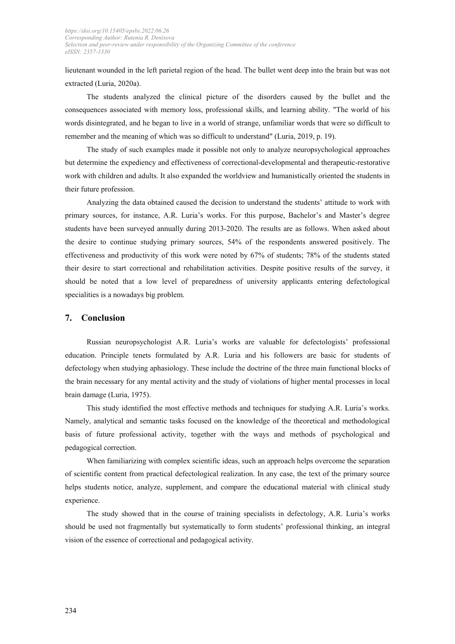lieutenant wounded in the left parietal region of the head. The bullet went deep into the brain but was not extracted (Luria, 2020a).

The students analyzed the clinical picture of the disorders caused by the bullet and the consequences associated with memory loss, professional skills, and learning ability. "The world of his words disintegrated, and he began to live in a world of strange, unfamiliar words that were so difficult to remember and the meaning of which was so difficult to understand" (Luria, 2019, p. 19).

The study of such examples made it possible not only to analyze neuropsychological approaches but determine the expediency and effectiveness of correctional-developmental and therapeutic-restorative work with children and adults. It also expanded the worldview and humanistically oriented the students in their future profession.

Analyzing the data obtained caused the decision to understand the students' attitude to work with primary sources, for instance, A.R. Luria's works. For this purpose, Bachelor's and Master's degree students have been surveyed annually during 2013-2020. The results are as follows. When asked about the desire to continue studying primary sources, 54% of the respondents answered positively. The effectiveness and productivity of this work were noted by 67% of students; 78% of the students stated their desire to start correctional and rehabilitation activities. Despite positive results of the survey, it should be noted that a low level of preparedness of university applicants entering defectological specialities is a nowadays big problem.

### **7. Conclusion**

Russian neuropsychologist A.R. Luria's works are valuable for defectologists' professional education. Principle tenets formulated by A.R. Luria and his followers are basic for students of defectology when studying aphasiology. These include the doctrine of the three main functional blocks of the brain necessary for any mental activity and the study of violations of higher mental processes in local brain damage (Luria, 1975).

This study identified the most effective methods and techniques for studying A.R. Luria's works. Namely, analytical and semantic tasks focused on the knowledge of the theoretical and methodological basis of future professional activity, together with the ways and methods of psychological and pedagogical correction.

When familiarizing with complex scientific ideas, such an approach helps overcome the separation of scientific content from practical defectological realization. In any case, the text of the primary source helps students notice, analyze, supplement, and compare the educational material with clinical study experience.

The study showed that in the course of training specialists in defectology, A.R. Luria's works should be used not fragmentally but systematically to form students' professional thinking, an integral vision of the essence of correctional and pedagogical activity.